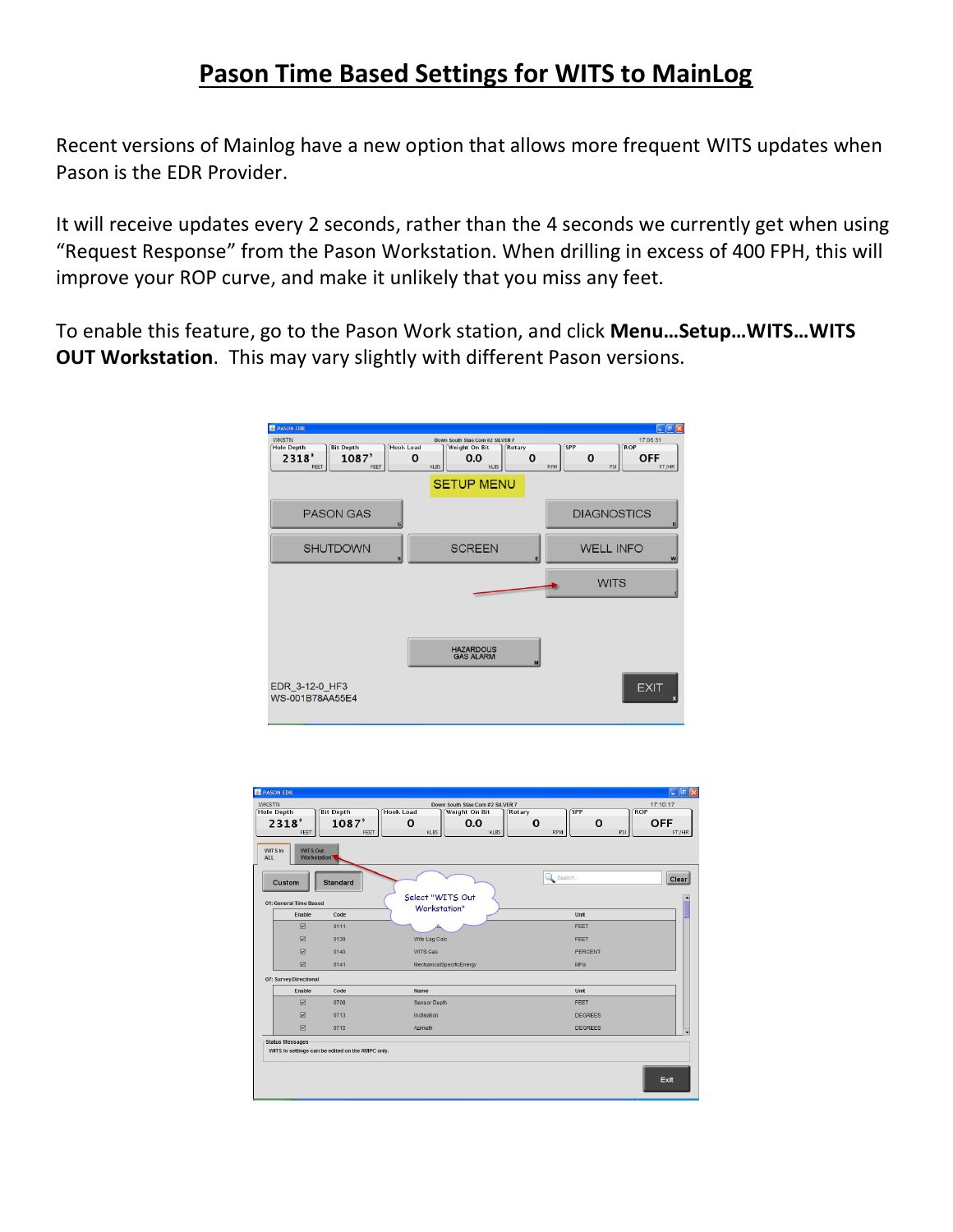## **Pason Time Based Settings for WITS to MainLog**

Recent versions of Mainlog have a new option that allows more frequent WITS updates when Pason is the EDR Provider.

It will receive updates every 2 seconds, rather than the 4 seconds we currently get when using "Request Response" from the Pason Workstation. When drilling in excess of 400 FPH, this will improve your ROP curve, and make it unlikely that you miss any feet.

To enable this feature, go to the Pason Work station, and click **Menu…Setup…WITS…WITS OUT Workstation**. This may vary slightly with different Pason versions.

| <b>PASON EDR</b><br><b>WKSTN</b>                                                                        | Down South Stae Com #2 SILVER 7                                                  | $\Box$ a $\boxtimes$<br>17:08:31                                                    |
|---------------------------------------------------------------------------------------------------------|----------------------------------------------------------------------------------|-------------------------------------------------------------------------------------|
| <b>Hole Depth</b><br><b>Bit Depth</b><br><b>Hook Load</b><br>1087'<br>2318 <sup>°</sup><br>FEET<br>FEET | Weight On Bit<br>Rotary<br>0.0<br>$\mathbf 0$<br>0<br><b>KLBS</b><br><b>KLBS</b> | <b>ROP</b><br><b>SPP</b><br>$\mathbf 0$<br><b>OFF</b><br><b>RPM</b><br>PSI<br>FT/HR |
|                                                                                                         | <b>SETUP MENU</b>                                                                |                                                                                     |
| <b>PASON GAS</b><br>G                                                                                   |                                                                                  | <b>DIAGNOSTICS</b><br>D                                                             |
| <b>SHUTDOWN</b><br>sl                                                                                   | <b>SCREEN</b><br>티                                                               | <b>WELL INFO</b><br>w                                                               |
|                                                                                                         |                                                                                  | <b>WITS</b>                                                                         |
|                                                                                                         |                                                                                  |                                                                                     |
|                                                                                                         | <b>HAZARDOUS</b><br><b>GAS ALARM</b><br>M                                        |                                                                                     |
| EDR_3-12-0_HF3<br>WS-001B78AA55E4                                                                       |                                                                                  | <b>EXIT</b>                                                                         |

| <b>PASON EDR</b>                                               |                                                  |                                                                             | । ਰਾ<br>y.                                                   |  |  |
|----------------------------------------------------------------|--------------------------------------------------|-----------------------------------------------------------------------------|--------------------------------------------------------------|--|--|
| <b>WKSTN</b><br><b>Hole Depth</b>                              | <b>Bit Depth</b>                                 | Down South Stae Com #2 SILVER 7<br><b>Hook Load</b><br><b>Weight On Bit</b> | 17:10:17<br><b>ROP</b><br><b>SPP</b><br>Rotary               |  |  |
| 2318°<br>FEET                                                  | $1087^{\circ}$<br>FEET                           | 0.0<br>0<br><b>KLBS</b><br><b>KLBS</b>                                      | <b>OFF</b><br>0<br>$\mathbf 0$<br><b>RPM</b><br>PSI<br>FT/HR |  |  |
| <b>WITS Out</b><br>WITS In<br><b>ALL</b><br><b>Workstation</b> |                                                  |                                                                             |                                                              |  |  |
| Custom                                                         | <b>Standard</b>                                  |                                                                             | Search<br>Clear                                              |  |  |
| 01: General Time Based                                         |                                                  | Select "WITS Out                                                            |                                                              |  |  |
| Enable                                                         | Code                                             | Workstation"                                                                | Unit                                                         |  |  |
| $\boxed{\triangleright}$                                       | 0111                                             |                                                                             | FEET                                                         |  |  |
| $\sqrt{v}$                                                     | 0139                                             | Wits Lag Calc                                                               | FEET                                                         |  |  |
| $\boxed{\nu}$                                                  | 0140                                             | WITS Gas                                                                    | PERCENT                                                      |  |  |
| $\sqrt{v}$                                                     | 0141                                             | MechanicalSpecificEnergy                                                    | <b>MPa</b>                                                   |  |  |
| 07: Survey/Directional                                         |                                                  |                                                                             |                                                              |  |  |
| Enable                                                         | Code                                             | Name                                                                        | <b>Unit</b>                                                  |  |  |
| $\sqrt{v}$                                                     | 0708                                             | Sensor Depth                                                                | FEET                                                         |  |  |
| $\boxed{\triangleright}$                                       | 0713                                             | Indination                                                                  | <b>DEGREES</b>                                               |  |  |
| $\boxed{\nu}$                                                  | 0715                                             | Azimuth                                                                     | <b>DEGREES</b><br>$\overline{\phantom{0}}$                   |  |  |
| <b>Status Messages</b>                                         | WITS In settings can be edited on the RMPC only. |                                                                             |                                                              |  |  |
|                                                                |                                                  |                                                                             | Exit                                                         |  |  |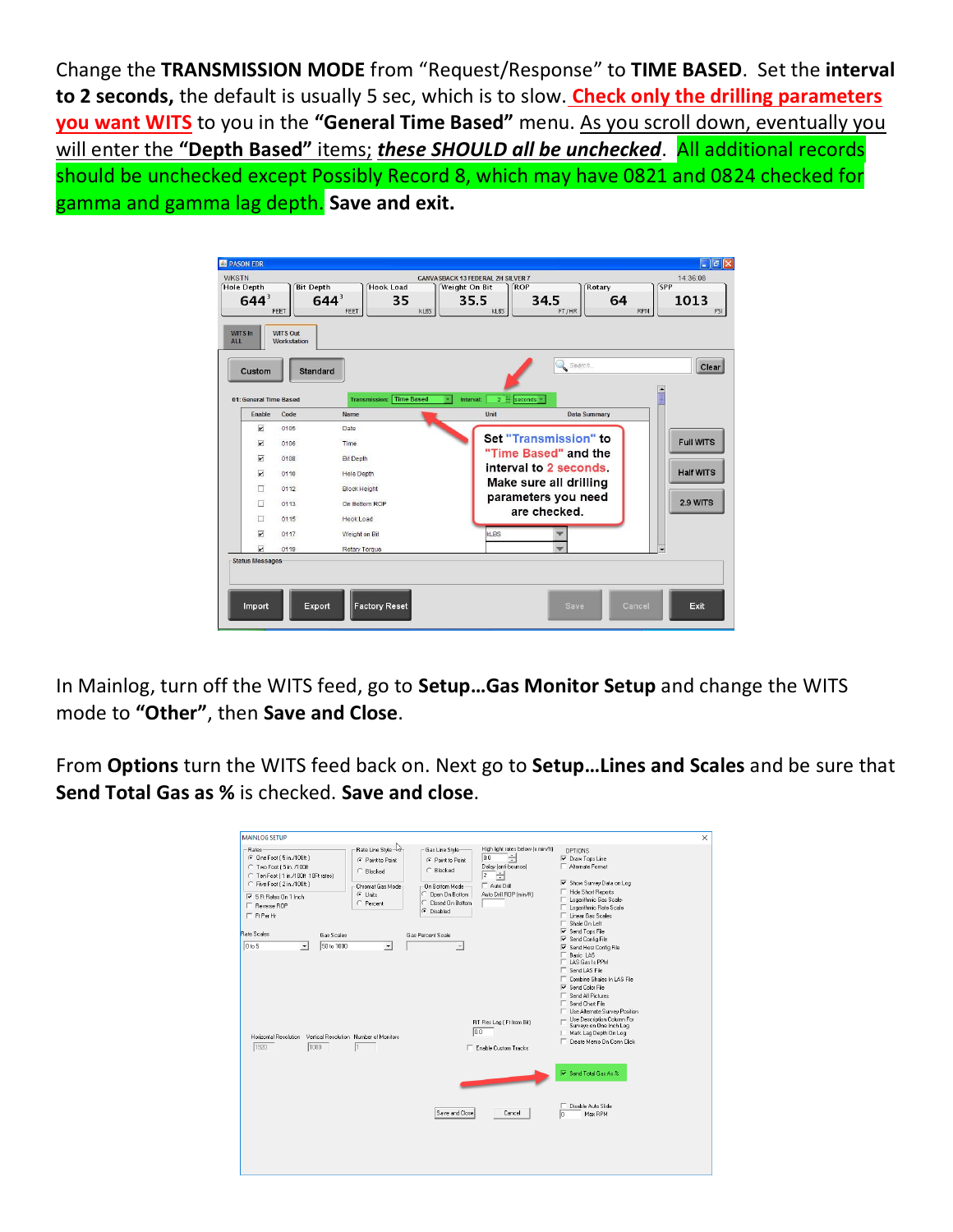Change the **TRANSMISSION MODE** from "Request/Response" to **TIME BASED**. Set the **interval to 2 seconds,** the default is usually 5 sec, which is to slow. **Check only the drilling parameters you want WITS** to you in the **"General Time Based"** menu. As you scroll down, eventually you will enter the **"Depth Based"** items; *these SHOULD all be unchecked*. All additional records should be unchecked except Possibly Record 8, which may have 0821 and 0824 checked for gamma and gamma lag depth. **Save and exit.**

| <b>WKSTN</b><br><b>Hole Depth</b><br>644 <sup>3</sup><br><b>WITS In</b><br>ALL. | <b>Bit Depth</b><br>FEET<br><b>WITS Out</b><br><b>Workstation</b> | <b>Hook Load</b><br>644 <sup>3</sup><br>35<br>FEET<br><b>KLBS</b> | 14:36:08<br><b>CANVASBACK 13 FEDERAL 2H SILVER 7</b><br><b>SPP</b><br><b>Weight On Bit</b><br><b>ROP</b><br>Rotary<br>35.5<br>34.5<br>1013<br>64<br><b>KLBS</b><br>FT/HR<br><b>RPM</b><br>PSI |
|---------------------------------------------------------------------------------|-------------------------------------------------------------------|-------------------------------------------------------------------|-----------------------------------------------------------------------------------------------------------------------------------------------------------------------------------------------|
| Custom<br>01: General Time Based                                                | <b>Standard</b>                                                   | <b>Time Based</b><br><b>Transmission:</b>                         | Search<br>Clear<br>2 <sup>2</sup><br>seconds -<br>Interval:                                                                                                                                   |
| Enable                                                                          | Code                                                              | Name                                                              | Unit<br><b>Data Summary</b>                                                                                                                                                                   |
| $\overline{v}$                                                                  | 0105                                                              | Date                                                              | Set "Transmission" to                                                                                                                                                                         |
| $\overline{\mathbf{v}}$                                                         | 0106                                                              | Time                                                              | <b>Full WITS</b><br>"Time Based" and the                                                                                                                                                      |
| $\overline{\mathbf{v}}$                                                         | 0108                                                              | <b>Bit Depth</b>                                                  | interval to 2 seconds.                                                                                                                                                                        |
| $\overline{\mathbf{v}}$                                                         | 0110                                                              | <b>Hole Depth</b>                                                 | <b>Half WITS</b>                                                                                                                                                                              |
| п                                                                               | 0112                                                              | <b>Block Height</b>                                               | Make sure all drilling                                                                                                                                                                        |
| п                                                                               | 0113                                                              | On Bottom ROP                                                     | parameters you need<br>2.9 WITS                                                                                                                                                               |
| п                                                                               | 0115                                                              | Hook Load                                                         | are checked.                                                                                                                                                                                  |
| $\overline{\mathbf{r}}$                                                         | 0117                                                              | Weight on Bit                                                     | <b>KLBS</b>                                                                                                                                                                                   |
| $\overline{\mathbf{v}}$                                                         | 0119                                                              | Rotary Torque                                                     | $\overline{\phantom{a}}$                                                                                                                                                                      |
| <b>Status Messages</b><br>Import                                                | Export                                                            | <b>Factory Reset</b>                                              | Exit<br>Cancel<br><b>Save</b>                                                                                                                                                                 |

In Mainlog, turn off the WITS feed, go to **Setup…Gas Monitor Setup** and change the WITS mode to **"Other"**, then **Save and Close**.

From **Options** turn the WITS feed back on. Next go to **Setup…Lines and Scales** and be sure that **Send Total Gas as %** is checked. **Save and close**.

| <b>MAINLOG SETUP</b><br>Rates-<br>C One Foot (5 in /1008)<br>C Two Foot [ 5 in, /100ft<br>C Ten Foot (1 in /100ft 10Ft rates)<br>C Five Foot (2 in /100ft)<br>5 Ft Rates On 1 Inch<br>F Reverse ROP<br>$\Box$ Ft Per Hr<br><b>Bate Scales</b><br>Gas Scales | Rate Line Style - 2<br>G Point to Point<br>C. Blocked<br>Chromat Gas Mode:<br>← Units<br>C Percent | - Gas Line Style<br>C Point to Point<br>C Blocked<br>On Bottom Mode<br>C Open On Bottom<br>C Closed On Bottom<br>Disabled<br>$\sigma$<br>Gas Percent Scale | High light rates below (x min/ft)<br>H<br>0.0<br>Delay (anti-bounce)<br>$\overline{2}$<br>H<br>$\Box$ Auto Drill<br>Auto Drill ROP (min/ft) | <b>OPTIONS</b><br>V Draw Tops Line<br>Alternate Format<br>I Show Survey Data on Log<br>F Hide Short Reports<br>Logarithmic Gas Scale:<br>Logarithmic Rate Scale<br>Linear Gas Scales<br>Shale On Left<br><b>▽</b> Send Tops File<br><b>▽</b> Send Config File                                                               | $\times$ |
|-------------------------------------------------------------------------------------------------------------------------------------------------------------------------------------------------------------------------------------------------------------|----------------------------------------------------------------------------------------------------|------------------------------------------------------------------------------------------------------------------------------------------------------------|---------------------------------------------------------------------------------------------------------------------------------------------|-----------------------------------------------------------------------------------------------------------------------------------------------------------------------------------------------------------------------------------------------------------------------------------------------------------------------------|----------|
| 0 to 5<br>50 to 1000<br>$\blacktriangledown$<br>Horizontal Resolution Vertical Resolution Number of Monitors<br>1920<br>1080                                                                                                                                | $\blacktriangledown$<br>Ī1                                                                         |                                                                                                                                                            | RT Res Lag (Ft from Bit)<br>0.0<br>Enable Custom Tracks                                                                                     | Ⅳ Send Horz Config File<br>Basic LAS<br>LAS Gas Is PPM<br>Send LAS File<br>Combine Shales In LAS File<br><b>▽</b> Send Color File<br>Send All Pictures<br>Send Chart File<br>Use Alternate Survey Position<br>- Use Description Column For<br>Surveys on One Inch Log<br>Mark Lag Depth On Log<br>Create Memo On Conn Click |          |
|                                                                                                                                                                                                                                                             |                                                                                                    | Save and Close                                                                                                                                             | Cancel                                                                                                                                      | $\nabla$ Send Total Gas As $\approx$<br>Disable Auto Slide<br>Max RPM<br>ln.                                                                                                                                                                                                                                                |          |